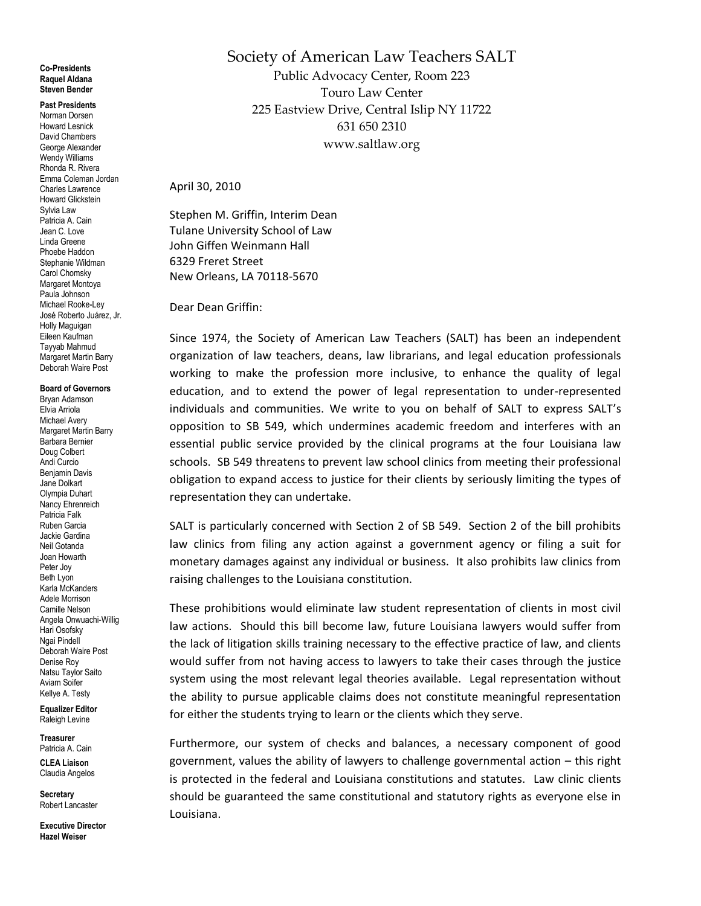## **Co-Presidents Raquel Aldana Steven Bender**

**Past Presidents** Norman Dorsen Howard Lesnick David Chambers George Alexander Wendy Williams Rhonda R. Rivera Emma Coleman Jordan Charles Lawrence Howard Glickstein Sylvia Law Patricia A. Cain Jean C. Love Linda Greene Phoebe Haddon Stephanie Wildman Carol Chomsky Margaret Montoya Paula Johnson Michael Rooke-Ley José Roberto Juárez, Jr. Holly Maguigan Eileen Kaufman Tayyab Mahmud Margaret Martin Barry Deborah Waire Post

**Board of Governors**

Bryan Adamson Elvia Arriola Michael Avery Margaret Martin Barry Barbara Bernier Doug Colbert Andi Curcio Benjamin Davis Jane Dolkart Olympia Duhart Nancy Ehrenreich Patricia Falk Ruben Garcia Jackie Gardina Neil Gotanda Joan Howarth Peter Joy Beth Lyon Karla McKanders Adele Morrison Camille Nelson Angela Onwuachi-Willig Hari Osofsky Ngai Pindell Deborah Waire Post Denise Roy Natsu Taylor Saito Aviam Soifer Kellye A. Testy

**Equalizer Editor** Raleigh Levine

**Treasurer** Patricia A. Cain

**CLEA Liaison** Claudia Angelos

**Secretary** Robert Lancaster

**Executive Director Hazel Weiser**

Society of American Law Teachers SALT Public Advocacy Center, Room 223 Touro Law Center 225 Eastview Drive, Central Islip NY 11722 631 650 2310 www.saltlaw.org

April 30, 2010

Stephen M. Griffin, Interim Dean Tulane University School of Law John Giffen Weinmann Hall 6329 Freret Street New Orleans, LA 70118-5670

Dear Dean Griffin:

Since 1974, the Society of American Law Teachers (SALT) has been an independent organization of law teachers, deans, law librarians, and legal education professionals working to make the profession more inclusive, to enhance the quality of legal education, and to extend the power of legal representation to under-represented individuals and communities. We write to you on behalf of SALT to express SALT's opposition to SB 549, which undermines academic freedom and interferes with an essential public service provided by the clinical programs at the four Louisiana law schools. SB 549 threatens to prevent law school clinics from meeting their professional obligation to expand access to justice for their clients by seriously limiting the types of representation they can undertake.

SALT is particularly concerned with Section 2 of SB 549. Section 2 of the bill prohibits law clinics from filing any action against a government agency or filing a suit for monetary damages against any individual or business. It also prohibits law clinics from raising challenges to the Louisiana constitution.

These prohibitions would eliminate law student representation of clients in most civil law actions. Should this bill become law, future Louisiana lawyers would suffer from the lack of litigation skills training necessary to the effective practice of law, and clients would suffer from not having access to lawyers to take their cases through the justice system using the most relevant legal theories available. Legal representation without the ability to pursue applicable claims does not constitute meaningful representation for either the students trying to learn or the clients which they serve.

Furthermore, our system of checks and balances, a necessary component of good government, values the ability of lawyers to challenge governmental action – this right is protected in the federal and Louisiana constitutions and statutes. Law clinic clients should be guaranteed the same constitutional and statutory rights as everyone else in Louisiana.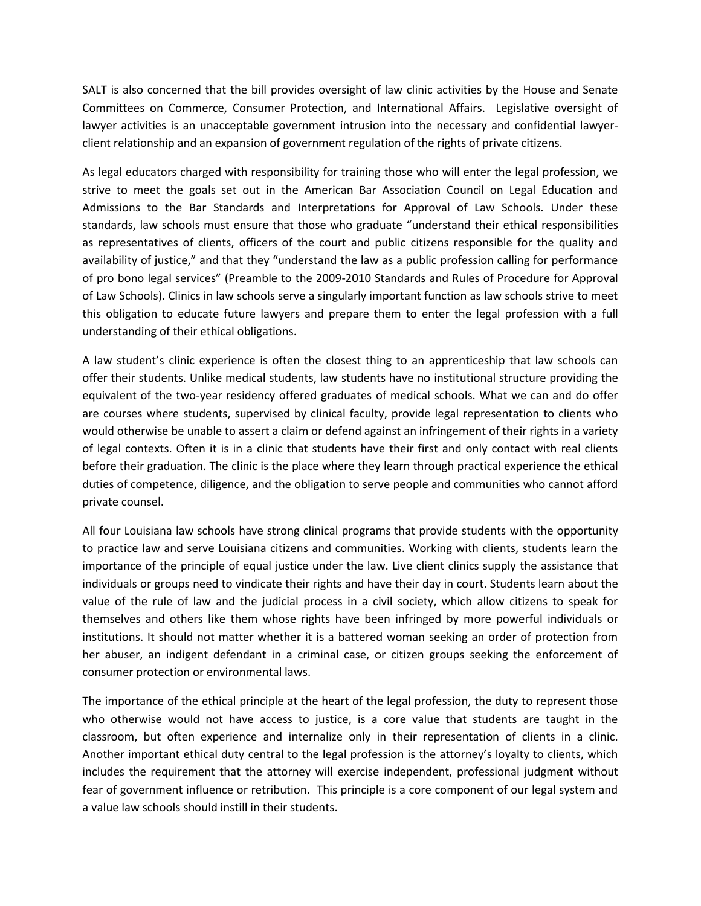SALT is also concerned that the bill provides oversight of law clinic activities by the House and Senate Committees on Commerce, Consumer Protection, and International Affairs. Legislative oversight of lawyer activities is an unacceptable government intrusion into the necessary and confidential lawyerclient relationship and an expansion of government regulation of the rights of private citizens.

As legal educators charged with responsibility for training those who will enter the legal profession, we strive to meet the goals set out in the American Bar Association Council on Legal Education and Admissions to the Bar Standards and Interpretations for Approval of Law Schools. Under these standards, law schools must ensure that those who graduate "understand their ethical responsibilities as representatives of clients, officers of the court and public citizens responsible for the quality and availability of justice," and that they "understand the law as a public profession calling for performance of pro bono legal services" (Preamble to the 2009-2010 Standards and Rules of Procedure for Approval of Law Schools). Clinics in law schools serve a singularly important function as law schools strive to meet this obligation to educate future lawyers and prepare them to enter the legal profession with a full understanding of their ethical obligations.

A law student's clinic experience is often the closest thing to an apprenticeship that law schools can offer their students. Unlike medical students, law students have no institutional structure providing the equivalent of the two-year residency offered graduates of medical schools. What we can and do offer are courses where students, supervised by clinical faculty, provide legal representation to clients who would otherwise be unable to assert a claim or defend against an infringement of their rights in a variety of legal contexts. Often it is in a clinic that students have their first and only contact with real clients before their graduation. The clinic is the place where they learn through practical experience the ethical duties of competence, diligence, and the obligation to serve people and communities who cannot afford private counsel.

All four Louisiana law schools have strong clinical programs that provide students with the opportunity to practice law and serve Louisiana citizens and communities. Working with clients, students learn the importance of the principle of equal justice under the law. Live client clinics supply the assistance that individuals or groups need to vindicate their rights and have their day in court. Students learn about the value of the rule of law and the judicial process in a civil society, which allow citizens to speak for themselves and others like them whose rights have been infringed by more powerful individuals or institutions. It should not matter whether it is a battered woman seeking an order of protection from her abuser, an indigent defendant in a criminal case, or citizen groups seeking the enforcement of consumer protection or environmental laws.

The importance of the ethical principle at the heart of the legal profession, the duty to represent those who otherwise would not have access to justice, is a core value that students are taught in the classroom, but often experience and internalize only in their representation of clients in a clinic. Another important ethical duty central to the legal profession is the attorney's loyalty to clients, which includes the requirement that the attorney will exercise independent, professional judgment without fear of government influence or retribution. This principle is a core component of our legal system and a value law schools should instill in their students.